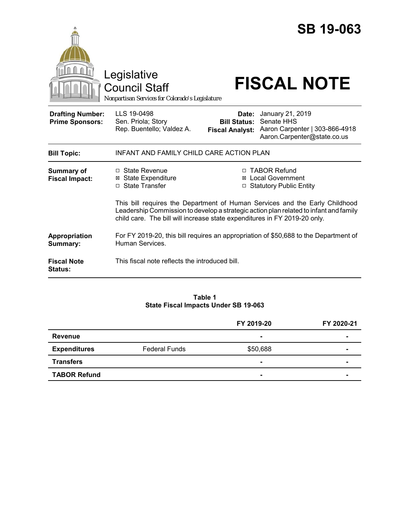|                                                   |                                                                                                                                                                                                                                                   |                                                        | <b>SB 19-063</b>                                                                                |  |
|---------------------------------------------------|---------------------------------------------------------------------------------------------------------------------------------------------------------------------------------------------------------------------------------------------------|--------------------------------------------------------|-------------------------------------------------------------------------------------------------|--|
|                                                   | Legislative<br><b>Council Staff</b><br>Nonpartisan Services for Colorado's Legislature                                                                                                                                                            |                                                        | <b>FISCAL NOTE</b>                                                                              |  |
| <b>Drafting Number:</b><br><b>Prime Sponsors:</b> | LLS 19-0498<br>Sen. Priola; Story<br>Rep. Buentello; Valdez A.                                                                                                                                                                                    | Date:<br><b>Bill Status:</b><br><b>Fiscal Analyst:</b> | January 21, 2019<br>Senate HHS<br>Aaron Carpenter   303-866-4918<br>Aaron.Carpenter@state.co.us |  |
| <b>Bill Topic:</b>                                | INFANT AND FAMILY CHILD CARE ACTION PLAN                                                                                                                                                                                                          |                                                        |                                                                                                 |  |
| <b>Summary of</b><br><b>Fiscal Impact:</b>        | $\Box$ State Revenue<br><b>⊠</b> State Expenditure<br>□ State Transfer                                                                                                                                                                            |                                                        | □ TABOR Refund<br>⊠ Local Government<br>□ Statutory Public Entity                               |  |
|                                                   | This bill requires the Department of Human Services and the Early Childhood<br>Leadership Commission to develop a strategic action plan related to infant and family<br>child care. The bill will increase state expenditures in FY 2019-20 only. |                                                        |                                                                                                 |  |
| Appropriation<br>Summary:                         | For FY 2019-20, this bill requires an appropriation of \$50,688 to the Department of<br>Human Services.                                                                                                                                           |                                                        |                                                                                                 |  |
| <b>Fiscal Note</b><br><b>Status:</b>              | This fiscal note reflects the introduced bill.                                                                                                                                                                                                    |                                                        |                                                                                                 |  |

#### **Table 1 State Fiscal Impacts Under SB 19-063**

|                     |                      | FY 2019-20     | FY 2020-21     |
|---------------------|----------------------|----------------|----------------|
| <b>Revenue</b>      |                      | $\blacksquare$ | $\blacksquare$ |
| <b>Expenditures</b> | <b>Federal Funds</b> | \$50,688       |                |
| <b>Transfers</b>    |                      | $\blacksquare$ | $\blacksquare$ |
| <b>TABOR Refund</b> |                      | $\blacksquare$ |                |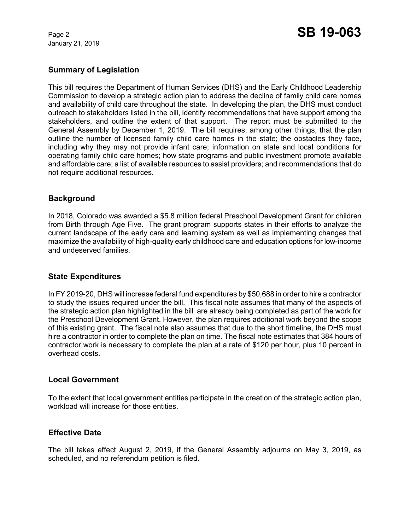January 21, 2019

## **Summary of Legislation**

This bill requires the Department of Human Services (DHS) and the Early Childhood Leadership Commission to develop a strategic action plan to address the decline of family child care homes and availability of child care throughout the state. In developing the plan, the DHS must conduct outreach to stakeholders listed in the bill, identify recommendations that have support among the stakeholders, and outline the extent of that support. The report must be submitted to the General Assembly by December 1, 2019. The bill requires, among other things, that the plan outline the number of licensed family child care homes in the state; the obstacles they face, including why they may not provide infant care; information on state and local conditions for operating family child care homes; how state programs and public investment promote available and affordable care; a list of available resources to assist providers; and recommendations that do not require additional resources.

# **Background**

In 2018, Colorado was awarded a \$5.8 million federal Preschool Development Grant for children from Birth through Age Five. The grant program supports states in their efforts to analyze the current landscape of the early care and learning system as well as implementing changes that maximize the availability of high-quality early childhood care and education options for low-income and undeserved families.

## **State Expenditures**

In FY 2019-20, DHS will increase federal fund expenditures by \$50,688 in order to hire a contractor to study the issues required under the bill. This fiscal note assumes that many of the aspects of the strategic action plan highlighted in the bill are already being completed as part of the work for the Preschool Development Grant. However, the plan requires additional work beyond the scope of this existing grant. The fiscal note also assumes that due to the short timeline, the DHS must hire a contractor in order to complete the plan on time. The fiscal note estimates that 384 hours of contractor work is necessary to complete the plan at a rate of \$120 per hour, plus 10 percent in overhead costs.

### **Local Government**

To the extent that local government entities participate in the creation of the strategic action plan, workload will increase for those entities.

### **Effective Date**

The bill takes effect August 2, 2019, if the General Assembly adjourns on May 3, 2019, as scheduled, and no referendum petition is filed.